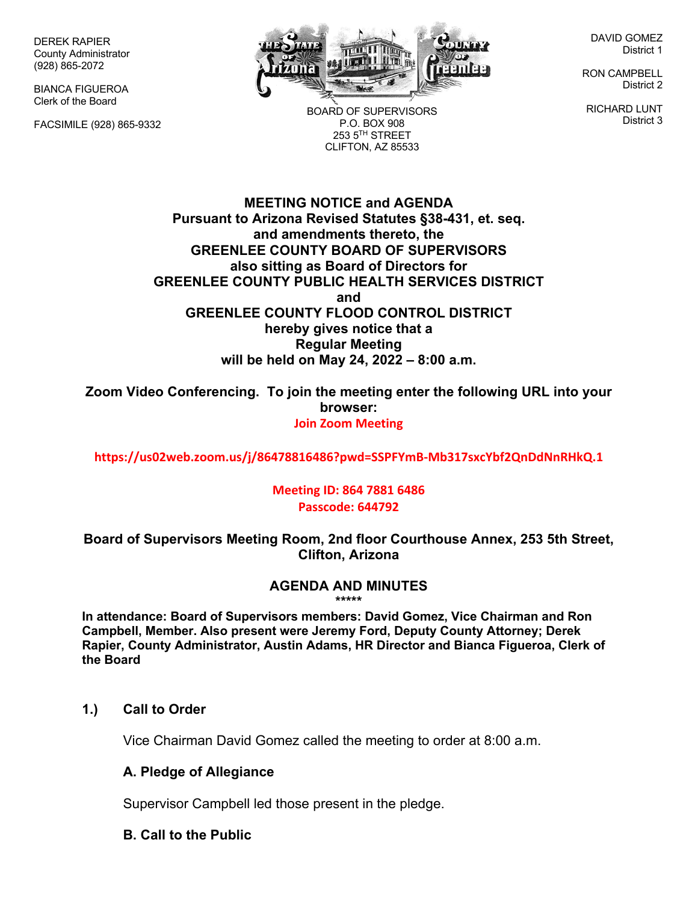DEREK RAPIER County Administrator (928) 865-2072

BIANCA FIGUEROA Clerk of the Board

FACSIMILE (928) 865-9332



BOARD OF SUPERVISORS P.O. BOX 908  $253.5$ <sup>TH</sup> STREET CLIFTON, AZ 85533

DAVID GOMEZ District 1

RON CAMPBELL District 2

RICHARD LUNT District 3

**MEETING NOTICE and AGENDA Pursuant to Arizona Revised Statutes §38-431, et. seq. and amendments thereto, the GREENLEE COUNTY BOARD OF SUPERVISORS also sitting as Board of Directors for GREENLEE COUNTY PUBLIC HEALTH SERVICES DISTRICT and GREENLEE COUNTY FLOOD CONTROL DISTRICT hereby gives notice that a Regular Meeting will be held on May 24, 2022 – 8:00 a.m.**

**Zoom Video Conferencing. To join the meeting enter the following URL into your browser: Join Zoom Meeting**

**https://us02web.zoom.us/j/86478816486?pwd=SSPFYmB-Mb317sxcYbf2QnDdNnRHkQ.1**

**Meeting ID: 864 7881 6486 Passcode: 644792**

**Board of Supervisors Meeting Room, 2nd floor Courthouse Annex, 253 5th Street, Clifton, Arizona**

#### **AGENDA AND MINUTES \*\*\*\*\***

**In attendance: Board of Supervisors members: David Gomez, Vice Chairman and Ron Campbell, Member. Also present were Jeremy Ford, Deputy County Attorney; Derek Rapier, County Administrator, Austin Adams, HR Director and Bianca Figueroa, Clerk of the Board**

#### **1.) Call to Order**

Vice Chairman David Gomez called the meeting to order at 8:00 a.m.

#### **A. Pledge of Allegiance**

Supervisor Campbell led those present in the pledge.

#### **B. Call to the Public**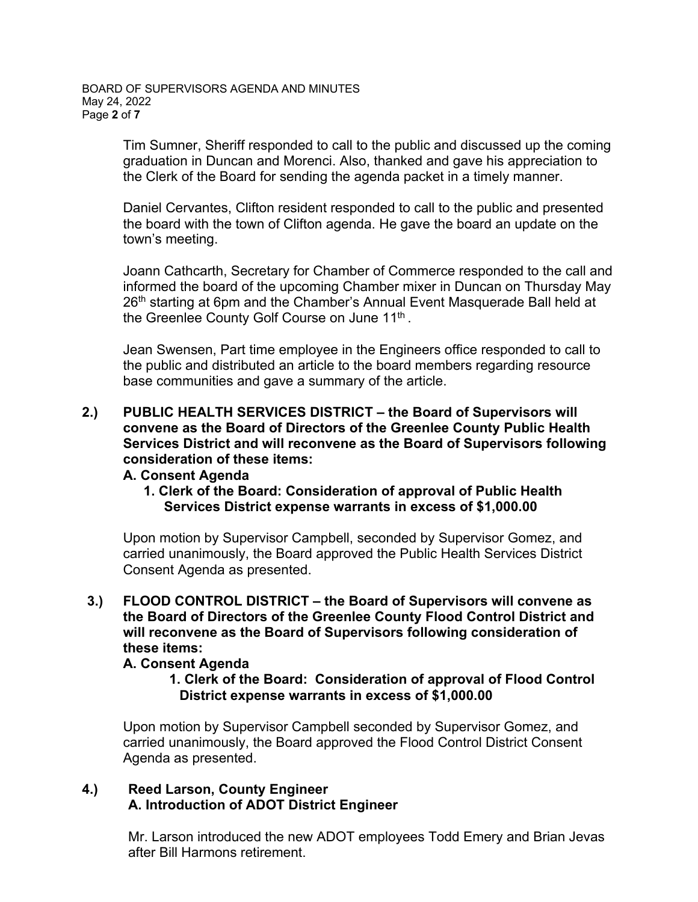BOARD OF SUPERVISORS AGENDA AND MINUTES May 24, 2022 Page **2** of **7**

> Tim Sumner, Sheriff responded to call to the public and discussed up the coming graduation in Duncan and Morenci. Also, thanked and gave his appreciation to the Clerk of the Board for sending the agenda packet in a timely manner.

Daniel Cervantes, Clifton resident responded to call to the public and presented the board with the town of Clifton agenda. He gave the board an update on the town's meeting.

Joann Cathcarth, Secretary for Chamber of Commerce responded to the call and informed the board of the upcoming Chamber mixer in Duncan on Thursday May 26<sup>th</sup> starting at 6pm and the Chamber's Annual Event Masquerade Ball held at the Greenlee County Golf Course on June 11<sup>th</sup>.

Jean Swensen, Part time employee in the Engineers office responded to call to the public and distributed an article to the board members regarding resource base communities and gave a summary of the article.

**2.) PUBLIC HEALTH SERVICES DISTRICT – the Board of Supervisors will convene as the Board of Directors of the Greenlee County Public Health Services District and will reconvene as the Board of Supervisors following consideration of these items:**

#### **A. Consent Agenda**

**1. Clerk of the Board: Consideration of approval of Public Health Services District expense warrants in excess of \$1,000.00** 

Upon motion by Supervisor Campbell, seconded by Supervisor Gomez, and carried unanimously, the Board approved the Public Health Services District Consent Agenda as presented.

**3.) FLOOD CONTROL DISTRICT – the Board of Supervisors will convene as the Board of Directors of the Greenlee County Flood Control District and will reconvene as the Board of Supervisors following consideration of these items:**

## **A. Consent Agenda**

**1. Clerk of the Board: Consideration of approval of Flood Control District expense warrants in excess of \$1,000.00**

Upon motion by Supervisor Campbell seconded by Supervisor Gomez, and carried unanimously, the Board approved the Flood Control District Consent Agenda as presented.

#### **4.) Reed Larson, County Engineer A. Introduction of ADOT District Engineer**

Mr. Larson introduced the new ADOT employees Todd Emery and Brian Jevas after Bill Harmons retirement.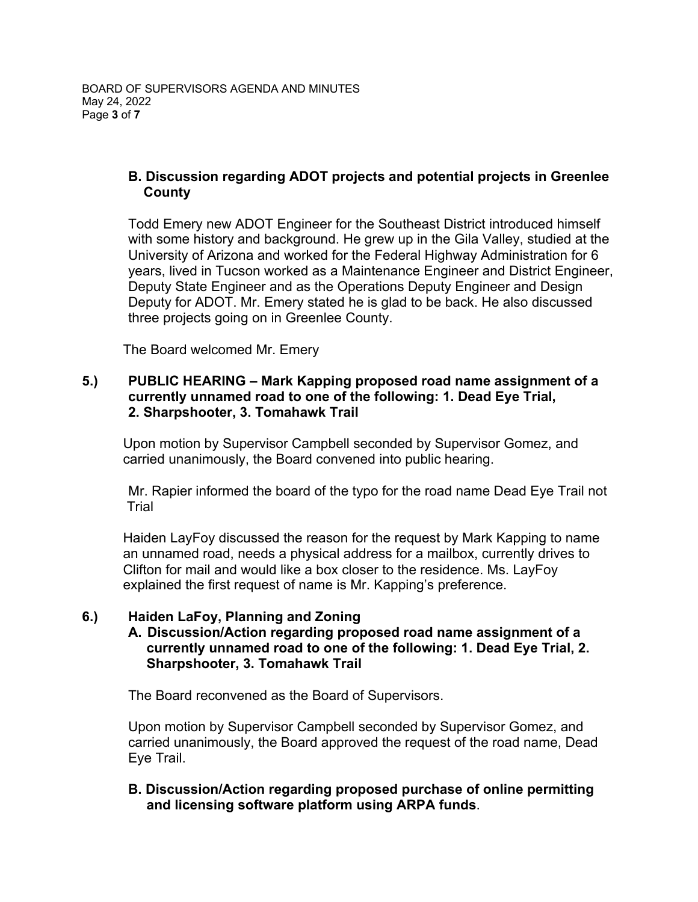# **B. Discussion regarding ADOT projects and potential projects in Greenlee County**

Todd Emery new ADOT Engineer for the Southeast District introduced himself with some history and background. He grew up in the Gila Valley, studied at the University of Arizona and worked for the Federal Highway Administration for 6 years, lived in Tucson worked as a Maintenance Engineer and District Engineer, Deputy State Engineer and as the Operations Deputy Engineer and Design Deputy for ADOT. Mr. Emery stated he is glad to be back. He also discussed three projects going on in Greenlee County.

The Board welcomed Mr. Emery

## **5.) PUBLIC HEARING – Mark Kapping proposed road name assignment of a currently unnamed road to one of the following: 1. Dead Eye Trial, 2. Sharpshooter, 3. Tomahawk Trail**

Upon motion by Supervisor Campbell seconded by Supervisor Gomez, and carried unanimously, the Board convened into public hearing.

Mr. Rapier informed the board of the typo for the road name Dead Eye Trail not Trial

Haiden LayFoy discussed the reason for the request by Mark Kapping to name an unnamed road, needs a physical address for a mailbox, currently drives to Clifton for mail and would like a box closer to the residence. Ms. LayFoy explained the first request of name is Mr. Kapping's preference.

## **6.) Haiden LaFoy, Planning and Zoning**

## **A. Discussion/Action regarding proposed road name assignment of a currently unnamed road to one of the following: 1. Dead Eye Trial, 2. Sharpshooter, 3. Tomahawk Trail**

The Board reconvened as the Board of Supervisors.

Upon motion by Supervisor Campbell seconded by Supervisor Gomez, and carried unanimously, the Board approved the request of the road name, Dead Eye Trail.

## **B. Discussion/Action regarding proposed purchase of online permitting and licensing software platform using ARPA funds**.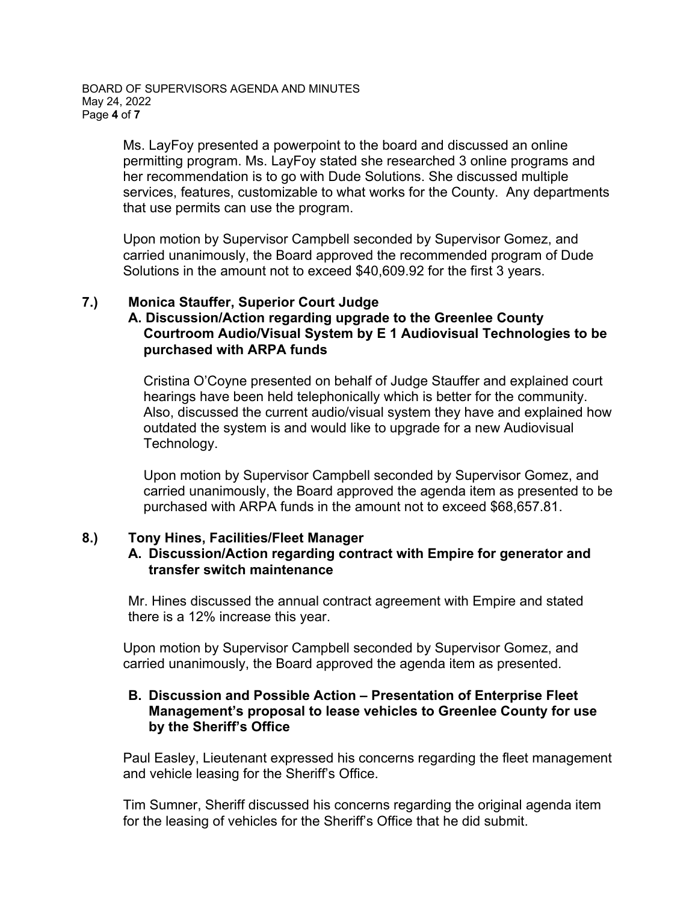Ms. LayFoy presented a powerpoint to the board and discussed an online permitting program. Ms. LayFoy stated she researched 3 online programs and her recommendation is to go with Dude Solutions. She discussed multiple services, features, customizable to what works for the County. Any departments that use permits can use the program.

Upon motion by Supervisor Campbell seconded by Supervisor Gomez, and carried unanimously, the Board approved the recommended program of Dude Solutions in the amount not to exceed \$40,609.92 for the first 3 years.

#### **7.) Monica Stauffer, Superior Court Judge A. Discussion/Action regarding upgrade to the Greenlee County Courtroom Audio/Visual System by E 1 Audiovisual Technologies to be purchased with ARPA funds**

Cristina O'Coyne presented on behalf of Judge Stauffer and explained court hearings have been held telephonically which is better for the community. Also, discussed the current audio/visual system they have and explained how outdated the system is and would like to upgrade for a new Audiovisual Technology.

Upon motion by Supervisor Campbell seconded by Supervisor Gomez, and carried unanimously, the Board approved the agenda item as presented to be purchased with ARPA funds in the amount not to exceed \$68,657.81.

## **8.) Tony Hines, Facilities/Fleet Manager**

#### **A. Discussion/Action regarding contract with Empire for generator and transfer switch maintenance**

Mr. Hines discussed the annual contract agreement with Empire and stated there is a 12% increase this year.

Upon motion by Supervisor Campbell seconded by Supervisor Gomez, and carried unanimously, the Board approved the agenda item as presented.

#### **B. Discussion and Possible Action – Presentation of Enterprise Fleet Management's proposal to lease vehicles to Greenlee County for use by the Sheriff's Office**

Paul Easley, Lieutenant expressed his concerns regarding the fleet management and vehicle leasing for the Sheriff's Office.

Tim Sumner, Sheriff discussed his concerns regarding the original agenda item for the leasing of vehicles for the Sheriff's Office that he did submit.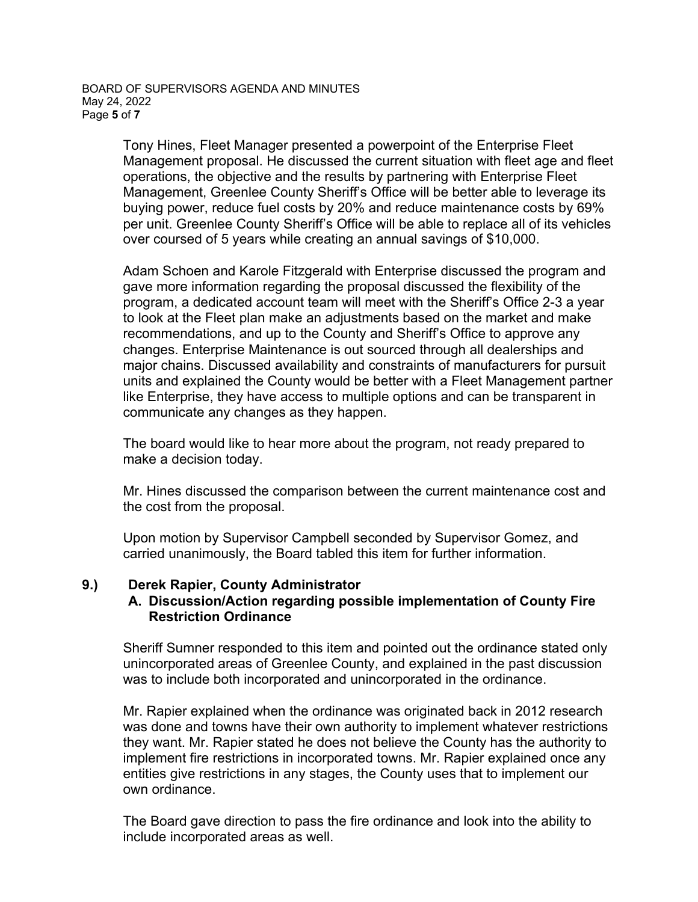Tony Hines, Fleet Manager presented a powerpoint of the Enterprise Fleet Management proposal. He discussed the current situation with fleet age and fleet operations, the objective and the results by partnering with Enterprise Fleet Management, Greenlee County Sheriff's Office will be better able to leverage its buying power, reduce fuel costs by 20% and reduce maintenance costs by 69% per unit. Greenlee County Sheriff's Office will be able to replace all of its vehicles over coursed of 5 years while creating an annual savings of \$10,000.

Adam Schoen and Karole Fitzgerald with Enterprise discussed the program and gave more information regarding the proposal discussed the flexibility of the program, a dedicated account team will meet with the Sheriff's Office 2-3 a year to look at the Fleet plan make an adjustments based on the market and make recommendations, and up to the County and Sheriff's Office to approve any changes. Enterprise Maintenance is out sourced through all dealerships and major chains. Discussed availability and constraints of manufacturers for pursuit units and explained the County would be better with a Fleet Management partner like Enterprise, they have access to multiple options and can be transparent in communicate any changes as they happen.

The board would like to hear more about the program, not ready prepared to make a decision today.

Mr. Hines discussed the comparison between the current maintenance cost and the cost from the proposal.

Upon motion by Supervisor Campbell seconded by Supervisor Gomez, and carried unanimously, the Board tabled this item for further information.

## **9.) Derek Rapier, County Administrator**

#### **A. Discussion/Action regarding possible implementation of County Fire Restriction Ordinance**

Sheriff Sumner responded to this item and pointed out the ordinance stated only unincorporated areas of Greenlee County, and explained in the past discussion was to include both incorporated and unincorporated in the ordinance.

Mr. Rapier explained when the ordinance was originated back in 2012 research was done and towns have their own authority to implement whatever restrictions they want. Mr. Rapier stated he does not believe the County has the authority to implement fire restrictions in incorporated towns. Mr. Rapier explained once any entities give restrictions in any stages, the County uses that to implement our own ordinance.

The Board gave direction to pass the fire ordinance and look into the ability to include incorporated areas as well.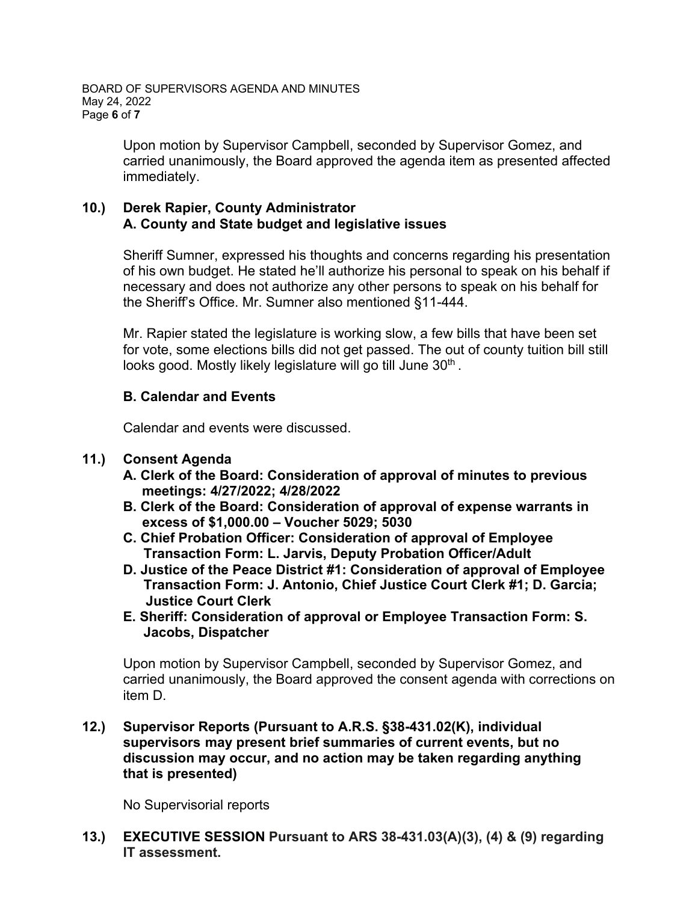Upon motion by Supervisor Campbell, seconded by Supervisor Gomez, and carried unanimously, the Board approved the agenda item as presented affected immediately.

# **10.) Derek Rapier, County Administrator A. County and State budget and legislative issues**

Sheriff Sumner, expressed his thoughts and concerns regarding his presentation of his own budget. He stated he'll authorize his personal to speak on his behalf if necessary and does not authorize any other persons to speak on his behalf for the Sheriff's Office. Mr. Sumner also mentioned §11-444.

Mr. Rapier stated the legislature is working slow, a few bills that have been set for vote, some elections bills did not get passed. The out of county tuition bill still looks good. Mostly likely legislature will go till June 30<sup>th</sup>.

# **B. Calendar and Events**

Calendar and events were discussed.

# **11.) Consent Agenda**

- **A. Clerk of the Board: Consideration of approval of minutes to previous meetings: 4/27/2022; 4/28/2022**
- **B. Clerk of the Board: Consideration of approval of expense warrants in excess of \$1,000.00 – Voucher 5029; 5030**
- **C. Chief Probation Officer: Consideration of approval of Employee Transaction Form: L. Jarvis, Deputy Probation Officer/Adult**
- **D. Justice of the Peace District #1: Consideration of approval of Employee Transaction Form: J. Antonio, Chief Justice Court Clerk #1; D. Garcia; Justice Court Clerk**
- **E. Sheriff: Consideration of approval or Employee Transaction Form: S. Jacobs, Dispatcher**

Upon motion by Supervisor Campbell, seconded by Supervisor Gomez, and carried unanimously, the Board approved the consent agenda with corrections on item D.

**12.) Supervisor Reports (Pursuant to A.R.S. §38-431.02(K), individual supervisors may present brief summaries of current events, but no discussion may occur, and no action may be taken regarding anything that is presented)**

No Supervisorial reports

**13.) EXECUTIVE SESSION Pursuant to ARS 38-431.03(A)(3), (4) & (9) regarding IT assessment.**